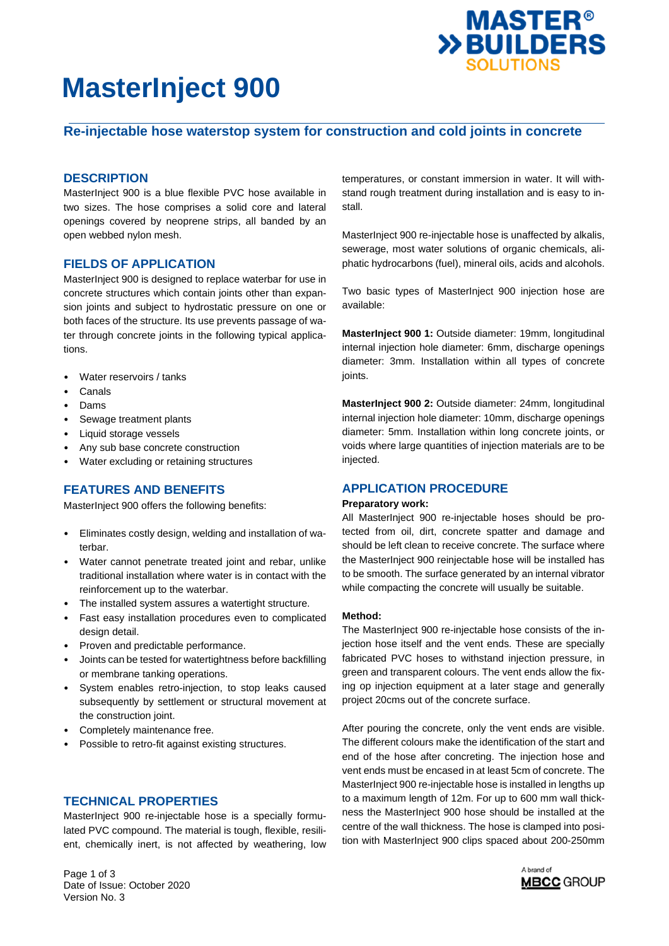

# **MasterInject 900**

# **Re-injectable hose waterstop system for construction and cold joints in concrete**

## **DESCRIPTION**

MasterInject 900 is a blue flexible PVC hose available in two sizes. The hose comprises a solid core and lateral openings covered by neoprene strips, all banded by an open webbed nylon mesh.

## **FIELDS OF APPLICATION**

MasterInject 900 is designed to replace waterbar for use in concrete structures which contain joints other than expansion joints and subject to hydrostatic pressure on one or both faces of the structure. Its use prevents passage of water through concrete joints in the following typical applications.

- Water reservoirs / tanks
- Canals
- Dams
- Sewage treatment plants
- Liquid storage vessels
- Any sub base concrete construction
- Water excluding or retaining structures

### **FEATURES AND BENEFITS**

MasterInject 900 offers the following benefits:

- Eliminates costly design, welding and installation of waterbar.
- Water cannot penetrate treated joint and rebar, unlike traditional installation where water is in contact with the reinforcement up to the waterbar.
- The installed system assures a watertight structure.
- Fast easy installation procedures even to complicated design detail.
- Proven and predictable performance.
- Joints can be tested for watertightness before backfilling or membrane tanking operations.
- System enables retro-injection, to stop leaks caused subsequently by settlement or structural movement at the construction joint.
- Completely maintenance free.
- Possible to retro-fit against existing structures.

# **TECHNICAL PROPERTIES**

MasterInject 900 re-injectable hose is a specially formulated PVC compound. The material is tough, flexible, resilient, chemically inert, is not affected by weathering, low

Page 1 of 3 Date of Issue: October 2020 Version No. 3

temperatures, or constant immersion in water. It will withstand rough treatment during installation and is easy to install.

MasterInject 900 re-injectable hose is unaffected by alkalis, sewerage, most water solutions of organic chemicals, aliphatic hydrocarbons (fuel), mineral oils, acids and alcohols.

Two basic types of MasterInject 900 injection hose are available:

**MasterInject 900 1:** Outside diameter: 19mm, longitudinal internal injection hole diameter: 6mm, discharge openings diameter: 3mm. Installation within all types of concrete joints.

**MasterInject 900 2:** Outside diameter: 24mm, longitudinal internal injection hole diameter: 10mm, discharge openings diameter: 5mm. Installation within long concrete joints, or voids where large quantities of injection materials are to be injected.

# **APPLICATION PROCEDURE**

### **Preparatory work:**

All MasterInject 900 re-injectable hoses should be protected from oil, dirt, concrete spatter and damage and should be left clean to receive concrete. The surface where the MasterInject 900 reinjectable hose will be installed has to be smooth. The surface generated by an internal vibrator while compacting the concrete will usually be suitable.

### **Method:**

The MasterInject 900 re-injectable hose consists of the injection hose itself and the vent ends. These are specially fabricated PVC hoses to withstand injection pressure, in green and transparent colours. The vent ends allow the fixing op injection equipment at a later stage and generally project 20cms out of the concrete surface.

After pouring the concrete, only the vent ends are visible. The different colours make the identification of the start and end of the hose after concreting. The injection hose and vent ends must be encased in at least 5cm of concrete. The MasterInject 900 re-injectable hose is installed in lengths up to a maximum length of 12m. For up to 600 mm wall thickness the MasterInject 900 hose should be installed at the centre of the wall thickness. The hose is clamped into position with MasterInject 900 clips spaced about 200-250mm

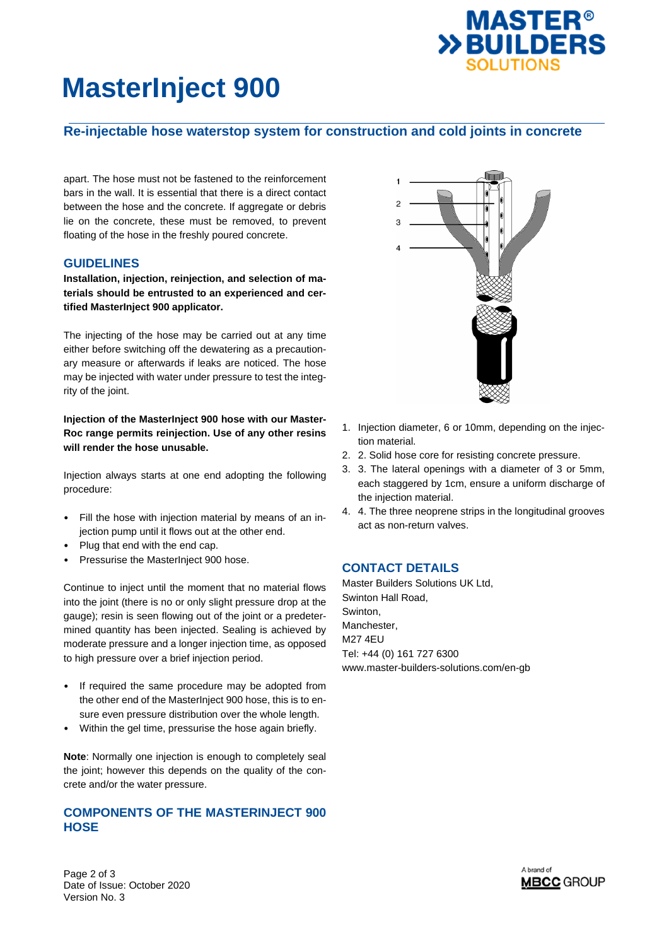

# **MasterInject 900**

# **Re-injectable hose waterstop system for construction and cold joints in concrete**

apart. The hose must not be fastened to the reinforcement bars in the wall. It is essential that there is a direct contact between the hose and the concrete. If aggregate or debris lie on the concrete, these must be removed, to prevent floating of the hose in the freshly poured concrete.

## **GUIDELINES**

**Installation, injection, reinjection, and selection of materials should be entrusted to an experienced and certified MasterInject 900 applicator.** 

The injecting of the hose may be carried out at any time either before switching off the dewatering as a precautionary measure or afterwards if leaks are noticed. The hose may be injected with water under pressure to test the integrity of the joint.

**Injection of the MasterInject 900 hose with our Master-Roc range permits reinjection. Use of any other resins will render the hose unusable.** 

Injection always starts at one end adopting the following procedure:

- Fill the hose with injection material by means of an injection pump until it flows out at the other end.
- Plug that end with the end cap.
- Pressurise the MasterInject 900 hose.

Continue to inject until the moment that no material flows into the joint (there is no or only slight pressure drop at the gauge); resin is seen flowing out of the joint or a predetermined quantity has been injected. Sealing is achieved by moderate pressure and a longer injection time, as opposed to high pressure over a brief injection period.

- If required the same procedure may be adopted from the other end of the MasterInject 900 hose, this is to ensure even pressure distribution over the whole length.
- Within the gel time, pressurise the hose again briefly.

**Note**: Normally one injection is enough to completely seal the joint; however this depends on the quality of the concrete and/or the water pressure.

# **COMPONENTS OF THE MASTERINJECT 900 HOSE**



- 1. Injection diameter, 6 or 10mm, depending on the injection material.
- 2. 2. Solid hose core for resisting concrete pressure.
- 3. 3. The lateral openings with a diameter of 3 or 5mm, each staggered by 1cm, ensure a uniform discharge of the injection material.
- 4. 4. The three neoprene strips in the longitudinal grooves act as non-return valves.

# **CONTACT DETAILS**

Master Builders Solutions UK Ltd, Swinton Hall Road, Swinton, Manchester, M27 4EU Tel: +44 (0) 161 727 6300 www.master-builders-solutions.com/en-gb

Page 2 of 3 Date of Issue: October 2020 Version No. 3